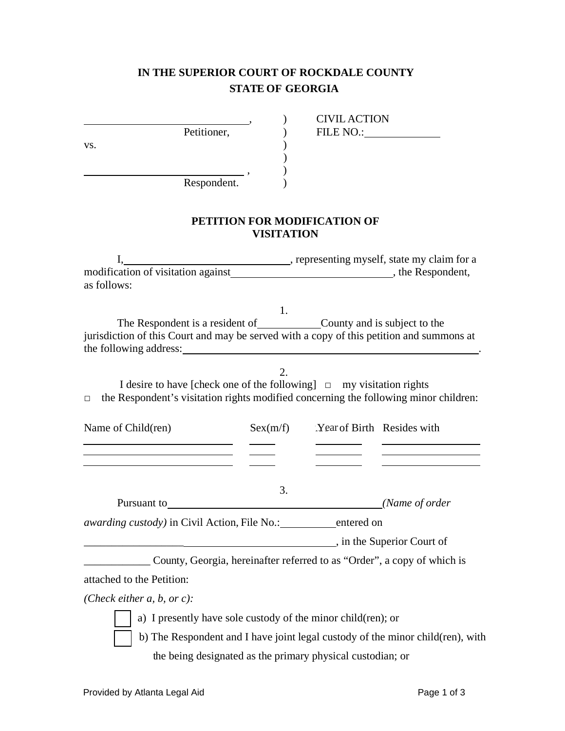## **IN THE SUPERIOR COURT OF ROCKDALE COUNTY STATE OF GEORGIA**

Petitioner, (1)  $\mathbf{v}\mathbf{s}$ .  $\qquad \qquad$  )

, ) CIVIL ACTION

Respondent.

## **PETITION FOR MODIFICATION OF VISITATION**

) , )

I, representing myself, state my claim for a modification of visitation against , the Respondent, as follows:

1. The Respondent is a resident of County and is subject to the jurisdiction of this Court and may be served with a copy of this petition and summons at the following address: .

2. I desire to have [check one of the following] □ my visitation rights  $\Box$  the Respondent's visitation rights modified concerning the following minor children:

| Name of Child(ren)                                   | Sex(m/f) | Year of Birth Resides with |                            |
|------------------------------------------------------|----------|----------------------------|----------------------------|
|                                                      |          |                            |                            |
|                                                      | 3.       |                            |                            |
| Pursuant to                                          |          |                            | (Name of order)            |
| <i>awarding custody</i> ) in Civil Action, File No.: |          | entered on                 |                            |
|                                                      |          |                            | , in the Superior Court of |

\_\_\_\_\_\_\_\_\_\_\_\_ County, Georgia, hereinafter referred to as "Order", a copy of which is attached to the Petition:

*(Check either a, b, or c):*

a) I presently have sole custody of the minor child(ren); or

b) The Respondent and I have joint legal custody of the minor child(ren), with the being designated as the primary physical custodian; or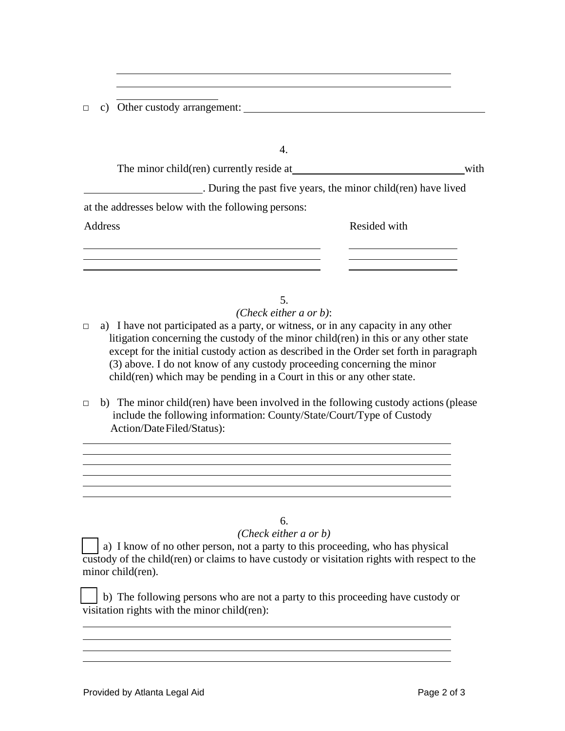□ c) Other custody arrangement:

| The minor child (ren) currently reside at          | with                                                          |
|----------------------------------------------------|---------------------------------------------------------------|
|                                                    | . During the past five years, the minor child(ren) have lived |
| at the addresses below with the following persons: |                                                               |
| Address                                            | Resided with                                                  |
|                                                    |                                                               |
|                                                    |                                                               |

5. *(Check either a or b)*:

- $\Box$  a) I have not participated as a party, or witness, or in any capacity in any other litigation concerning the custody of the minor child(ren) in this or any other state except for the initial custody action as described in the Order set forth in paragraph (3) above. I do not know of any custody proceeding concerning the minor child(ren) which may be pending in a Court in this or any other state.
- $\Box$  b) The minor child(ren) have been involved in the following custody actions (please include the following information: County/State/Court/Type of Custody Action/DateFiled/Status):

<u> 1980 - Jan Samuel Barbara, martin da basar a shekara ta 1980 ha shekara ta 1980 ha shekara ta 1980 ha shekara</u> 

## 6.

<u> 1989 - Johann John Stone, mars eta biztanleria (h. 1989).</u>

<u> 2000 - Jan James James Jan James James James James James James James James James James James James James James Ja</u>

<u> 1980 - Johann Stein, mars an deutscher Stein und der Stein und der Stein und der Stein und der Stein und der</u>

## *(Check either a or b)*

□ a) I know of no other person, not a party to this proceeding, who has physical custody of the child(ren) or claims to have custody or visitation rights with respect to the minor child(ren).

□ b) The following persons who are not a party to this proceeding have custody or visitation rights with the minor child(ren):